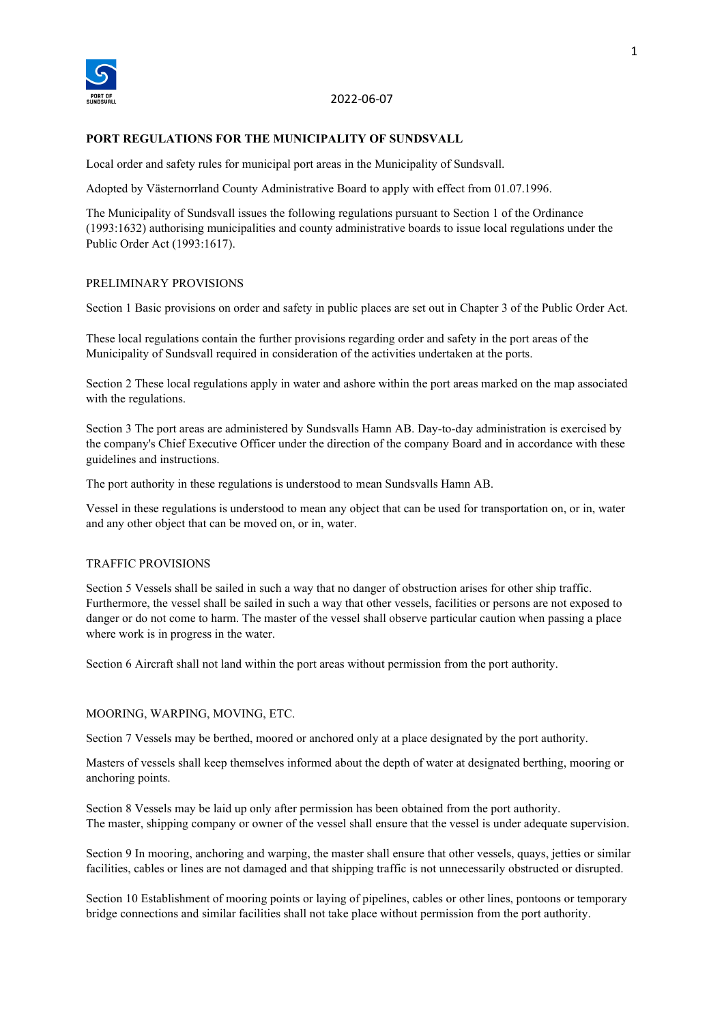

## 2022-06-07

#### **PORT REGULATIONS FOR THE MUNICIPALITY OF SUNDSVALL**

Local order and safety rules for municipal port areas in the Municipality of Sundsvall.

Adopted by Västernorrland County Administrative Board to apply with effect from 01.07.1996.

The Municipality of Sundsvall issues the following regulations pursuant to Section 1 of the Ordinance (1993:1632) authorising municipalities and county administrative boards to issue local regulations under the Public Order Act (1993:1617).

#### PRELIMINARY PROVISIONS

Section 1 Basic provisions on order and safety in public places are set out in Chapter 3 of the Public Order Act.

These local regulations contain the further provisions regarding order and safety in the port areas of the Municipality of Sundsvall required in consideration of the activities undertaken at the ports.

Section 2 These local regulations apply in water and ashore within the port areas marked on the map associated with the regulations.

Section 3 The port areas are administered by Sundsvalls Hamn AB. Day-to-day administration is exercised by the company's Chief Executive Officer under the direction of the company Board and in accordance with these guidelines and instructions.

The port authority in these regulations is understood to mean Sundsvalls Hamn AB.

Vessel in these regulations is understood to mean any object that can be used for transportation on, or in, water and any other object that can be moved on, or in, water.

#### TRAFFIC PROVISIONS

Section 5 Vessels shall be sailed in such a way that no danger of obstruction arises for other ship traffic. Furthermore, the vessel shall be sailed in such a way that other vessels, facilities or persons are not exposed to danger or do not come to harm. The master of the vessel shall observe particular caution when passing a place where work is in progress in the water.

Section 6 Aircraft shall not land within the port areas without permission from the port authority.

#### MOORING, WARPING, MOVING, ETC.

Section 7 Vessels may be berthed, moored or anchored only at a place designated by the port authority.

Masters of vessels shall keep themselves informed about the depth of water at designated berthing, mooring or anchoring points.

Section 8 Vessels may be laid up only after permission has been obtained from the port authority. The master, shipping company or owner of the vessel shall ensure that the vessel is under adequate supervision.

Section 9 In mooring, anchoring and warping, the master shall ensure that other vessels, quays, jetties or similar facilities, cables or lines are not damaged and that shipping traffic is not unnecessarily obstructed or disrupted.

Section 10 Establishment of mooring points or laying of pipelines, cables or other lines, pontoons or temporary bridge connections and similar facilities shall not take place without permission from the port authority.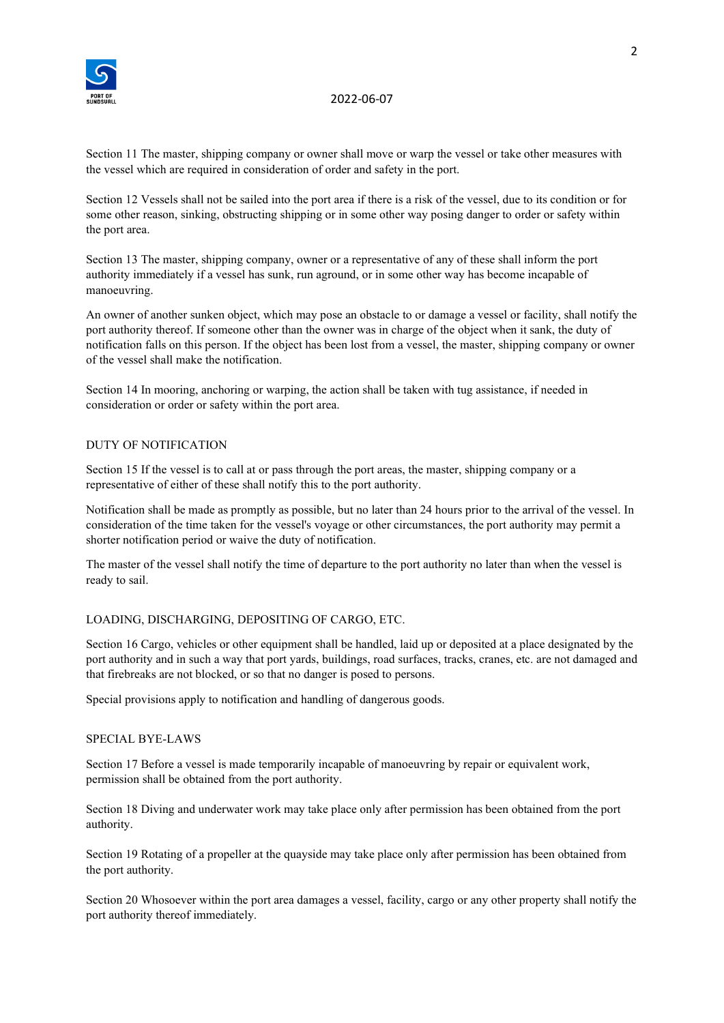

## 2022-06-07

Section 11 The master, shipping company or owner shall move or warp the vessel or take other measures with the vessel which are required in consideration of order and safety in the port.

Section 12 Vessels shall not be sailed into the port area if there is a risk of the vessel, due to its condition or for some other reason, sinking, obstructing shipping or in some other way posing danger to order or safety within the port area.

Section 13 The master, shipping company, owner or a representative of any of these shall inform the port authority immediately if a vessel has sunk, run aground, or in some other way has become incapable of manoeuvring.

An owner of another sunken object, which may pose an obstacle to or damage a vessel or facility, shall notify the port authority thereof. If someone other than the owner was in charge of the object when it sank, the duty of notification falls on this person. If the object has been lost from a vessel, the master, shipping company or owner of the vessel shall make the notification.

Section 14 In mooring, anchoring or warping, the action shall be taken with tug assistance, if needed in consideration or order or safety within the port area.

## DUTY OF NOTIFICATION

Section 15 If the vessel is to call at or pass through the port areas, the master, shipping company or a representative of either of these shall notify this to the port authority.

Notification shall be made as promptly as possible, but no later than 24 hours prior to the arrival of the vessel. In consideration of the time taken for the vessel's voyage or other circumstances, the port authority may permit a shorter notification period or waive the duty of notification.

The master of the vessel shall notify the time of departure to the port authority no later than when the vessel is ready to sail.

## LOADING, DISCHARGING, DEPOSITING OF CARGO, ETC.

Section 16 Cargo, vehicles or other equipment shall be handled, laid up or deposited at a place designated by the port authority and in such a way that port yards, buildings, road surfaces, tracks, cranes, etc. are not damaged and that firebreaks are not blocked, or so that no danger is posed to persons.

Special provisions apply to notification and handling of dangerous goods.

## SPECIAL BYE-LAWS

Section 17 Before a vessel is made temporarily incapable of manoeuvring by repair or equivalent work, permission shall be obtained from the port authority.

Section 18 Diving and underwater work may take place only after permission has been obtained from the port authority.

Section 19 Rotating of a propeller at the quayside may take place only after permission has been obtained from the port authority.

Section 20 Whosoever within the port area damages a vessel, facility, cargo or any other property shall notify the port authority thereof immediately.